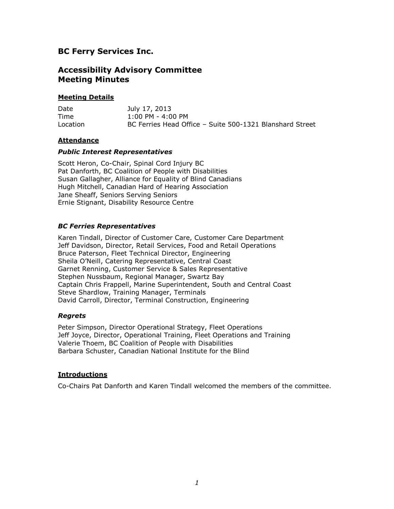# **BC Ferry Services Inc.**

# **Accessibility Advisory Committee Meeting Minutes**

## **Meeting Details**

| Date     | July 17, 2013                                            |
|----------|----------------------------------------------------------|
| Time     | $1:00$ PM - 4:00 PM                                      |
| Location | BC Ferries Head Office - Suite 500-1321 Blanshard Street |

### **Attendance**

### *Public Interest Representatives*

Scott Heron, Co-Chair, Spinal Cord Injury BC Pat Danforth, BC Coalition of People with Disabilities Susan Gallagher, Alliance for Equality of Blind Canadians Hugh Mitchell, Canadian Hard of Hearing Association Jane Sheaff, Seniors Serving Seniors Ernie Stignant, Disability Resource Centre

## *BC Ferries Representatives*

Karen Tindall, Director of Customer Care, Customer Care Department Jeff Davidson, Director, Retail Services, Food and Retail Operations Bruce Paterson, Fleet Technical Director, Engineering Sheila O'Neill, Catering Representative, Central Coast Garnet Renning, Customer Service & Sales Representative Stephen Nussbaum, Regional Manager, Swartz Bay Captain Chris Frappell, Marine Superintendent, South and Central Coast Steve Shardlow, Training Manager, Terminals David Carroll, Director, Terminal Construction, Engineering

### *Regrets*

Peter Simpson, Director Operational Strategy, Fleet Operations Jeff Joyce, Director, Operational Training, Fleet Operations and Training Valerie Thoem, BC Coalition of People with Disabilities Barbara Schuster, Canadian National Institute for the Blind

## **Introductions**

Co-Chairs Pat Danforth and Karen Tindall welcomed the members of the committee.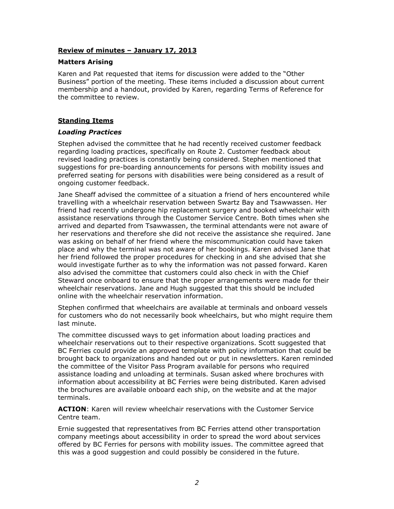## **Review of minutes – January 17, 2013**

## **Matters Arising**

Karen and Pat requested that items for discussion were added to the "Other Business" portion of the meeting. These items included a discussion about current membership and a handout, provided by Karen, regarding Terms of Reference for the committee to review.

# **Standing Items**

### *Loading Practices*

Stephen advised the committee that he had recently received customer feedback regarding loading practices, specifically on Route 2. Customer feedback about revised loading practices is constantly being considered. Stephen mentioned that suggestions for pre-boarding announcements for persons with mobility issues and preferred seating for persons with disabilities were being considered as a result of ongoing customer feedback.

Jane Sheaff advised the committee of a situation a friend of hers encountered while travelling with a wheelchair reservation between Swartz Bay and Tsawwassen. Her friend had recently undergone hip replacement surgery and booked wheelchair with assistance reservations through the Customer Service Centre. Both times when she arrived and departed from Tsawwassen, the terminal attendants were not aware of her reservations and therefore she did not receive the assistance she required. Jane was asking on behalf of her friend where the miscommunication could have taken place and why the terminal was not aware of her bookings. Karen advised Jane that her friend followed the proper procedures for checking in and she advised that she would investigate further as to why the information was not passed forward. Karen also advised the committee that customers could also check in with the Chief Steward once onboard to ensure that the proper arrangements were made for their wheelchair reservations. Jane and Hugh suggested that this should be included online with the wheelchair reservation information.

Stephen confirmed that wheelchairs are available at terminals and onboard vessels for customers who do not necessarily book wheelchairs, but who might require them last minute.

The committee discussed ways to get information about loading practices and wheelchair reservations out to their respective organizations. Scott suggested that BC Ferries could provide an approved template with policy information that could be brought back to organizations and handed out or put in newsletters. Karen reminded the committee of the Visitor Pass Program available for persons who required assistance loading and unloading at terminals. Susan asked where brochures with information about accessibility at BC Ferries were being distributed. Karen advised the brochures are available onboard each ship, on the website and at the major terminals.

**ACTION**: Karen will review wheelchair reservations with the Customer Service Centre team.

Ernie suggested that representatives from BC Ferries attend other transportation company meetings about accessibility in order to spread the word about services offered by BC Ferries for persons with mobility issues. The committee agreed that this was a good suggestion and could possibly be considered in the future.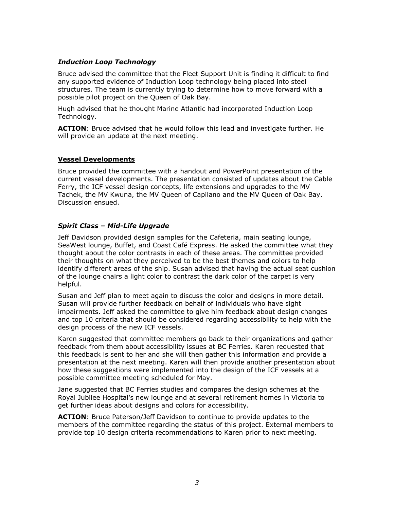# *Induction Loop Technology*

Bruce advised the committee that the Fleet Support Unit is finding it difficult to find any supported evidence of Induction Loop technology being placed into steel structures. The team is currently trying to determine how to move forward with a possible pilot project on the Queen of Oak Bay.

Hugh advised that he thought Marine Atlantic had incorporated Induction Loop Technology.

**ACTION**: Bruce advised that he would follow this lead and investigate further. He will provide an update at the next meeting.

### **Vessel Developments**

Bruce provided the committee with a handout and PowerPoint presentation of the current vessel developments. The presentation consisted of updates about the Cable Ferry, the ICF vessel design concepts, life extensions and upgrades to the MV Tachek, the MV Kwuna, the MV Queen of Capilano and the MV Queen of Oak Bay. Discussion ensued.

## *Spirit Class – Mid-Life Upgrade*

Jeff Davidson provided design samples for the Cafeteria, main seating lounge, SeaWest lounge, Buffet, and Coast Café Express. He asked the committee what they thought about the color contrasts in each of these areas. The committee provided their thoughts on what they perceived to be the best themes and colors to help identify different areas of the ship. Susan advised that having the actual seat cushion of the lounge chairs a light color to contrast the dark color of the carpet is very helpful.

Susan and Jeff plan to meet again to discuss the color and designs in more detail. Susan will provide further feedback on behalf of individuals who have sight impairments. Jeff asked the committee to give him feedback about design changes and top 10 criteria that should be considered regarding accessibility to help with the design process of the new ICF vessels.

Karen suggested that committee members go back to their organizations and gather feedback from them about accessibility issues at BC Ferries. Karen requested that this feedback is sent to her and she will then gather this information and provide a presentation at the next meeting. Karen will then provide another presentation about how these suggestions were implemented into the design of the ICF vessels at a possible committee meeting scheduled for May.

Jane suggested that BC Ferries studies and compares the design schemes at the Royal Jubilee Hospital's new lounge and at several retirement homes in Victoria to get further ideas about designs and colors for accessibility.

**ACTION**: Bruce Paterson/Jeff Davidson to continue to provide updates to the members of the committee regarding the status of this project. External members to provide top 10 design criteria recommendations to Karen prior to next meeting.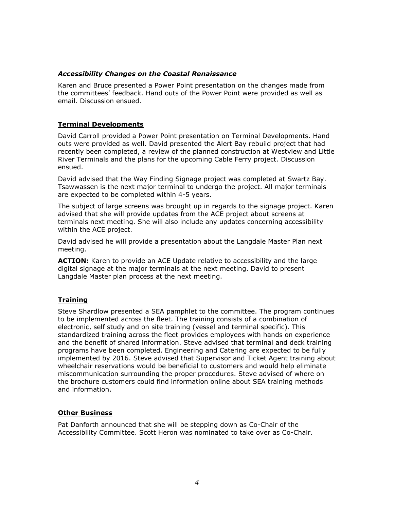## *Accessibility Changes on the Coastal Renaissance*

Karen and Bruce presented a Power Point presentation on the changes made from the committees' feedback. Hand outs of the Power Point were provided as well as email. Discussion ensued.

# **Terminal Developments**

David Carroll provided a Power Point presentation on Terminal Developments. Hand outs were provided as well. David presented the Alert Bay rebuild project that had recently been completed, a review of the planned construction at Westview and Little River Terminals and the plans for the upcoming Cable Ferry project. Discussion ensued.

David advised that the Way Finding Signage project was completed at Swartz Bay. Tsawwassen is the next major terminal to undergo the project. All major terminals are expected to be completed within 4-5 years.

The subject of large screens was brought up in regards to the signage project. Karen advised that she will provide updates from the ACE project about screens at terminals next meeting. She will also include any updates concerning accessibility within the ACE project.

David advised he will provide a presentation about the Langdale Master Plan next meeting.

**ACTION:** Karen to provide an ACE Update relative to accessibility and the large digital signage at the major terminals at the next meeting. David to present Langdale Master plan process at the next meeting.

# **Training**

Steve Shardlow presented a SEA pamphlet to the committee. The program continues to be implemented across the fleet. The training consists of a combination of electronic, self study and on site training (vessel and terminal specific). This standardized training across the fleet provides employees with hands on experience and the benefit of shared information. Steve advised that terminal and deck training programs have been completed. Engineering and Catering are expected to be fully implemented by 2016. Steve advised that Supervisor and Ticket Agent training about wheelchair reservations would be beneficial to customers and would help eliminate miscommunication surrounding the proper procedures. Steve advised of where on the brochure customers could find information online about SEA training methods and information.

## **Other Business**

Pat Danforth announced that she will be stepping down as Co-Chair of the Accessibility Committee. Scott Heron was nominated to take over as Co-Chair.